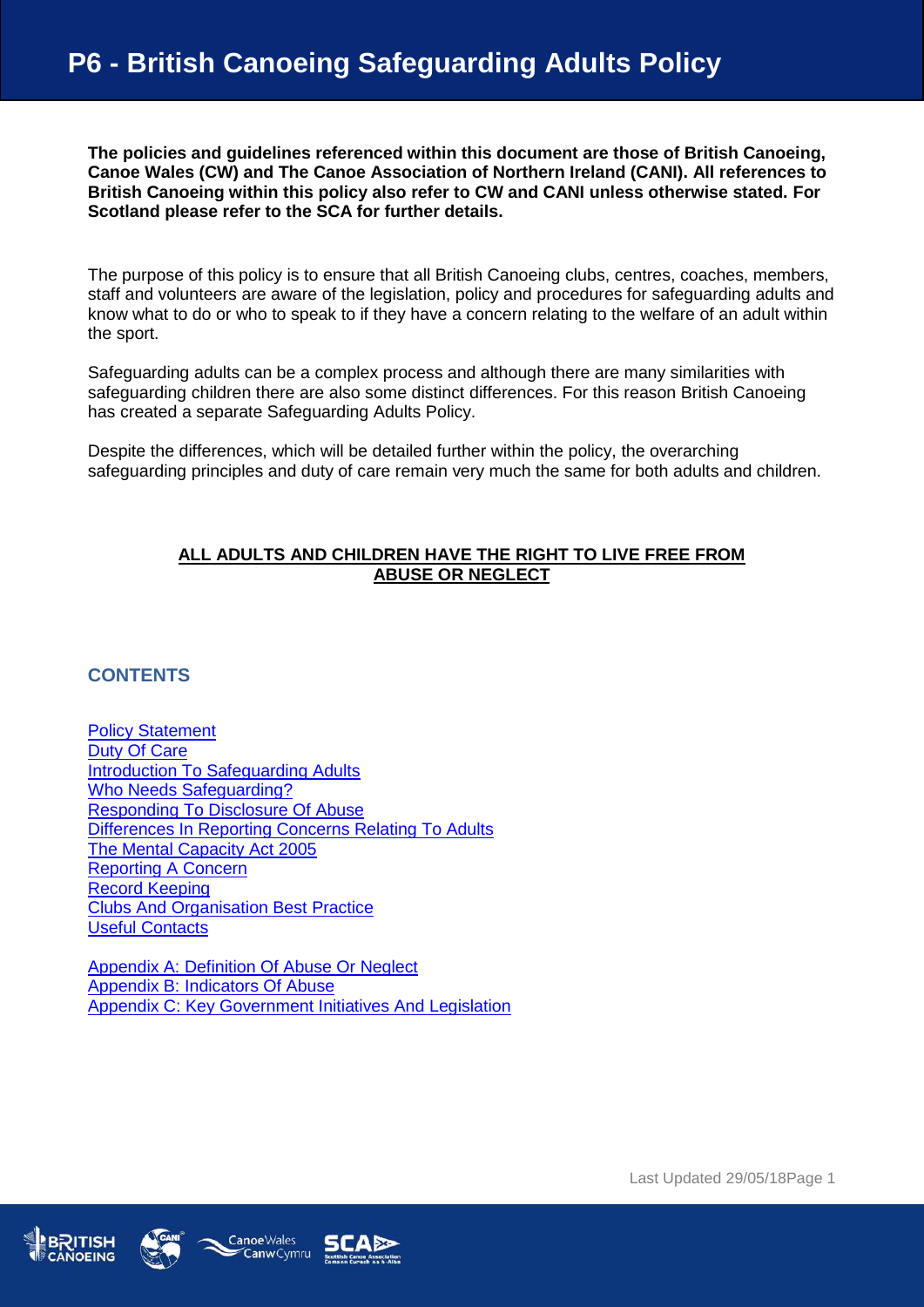# **P6 - British Canoeing Safeguarding Adults Policy**

**The policies and guidelines referenced within this document are those of British Canoeing, Canoe Wales (CW) and The Canoe Association of Northern Ireland (CANI). All references to British Canoeing within this policy also refer to CW and CANI unless otherwise stated. For Scotland please refer to the SCA for further details.**

The purpose of this policy is to ensure that all British Canoeing clubs, centres, coaches, members, staff and volunteers are aware of the legislation, policy and procedures for safeguarding adults and know what to do or who to speak to if they have a concern relating to the welfare of an adult within the sport.

Safeguarding adults can be a complex process and although there are many similarities with safeguarding children there are also some distinct differences. For this reason British Canoeing has created a separate Safeguarding Adults Policy.

Despite the differences, which will be detailed further within the policy, the overarching safeguarding principles and duty of care remain very much the same for both adults and children.

## **ALL ADULTS AND CHILDREN HAVE THE RIGHT TO LIVE FREE FROM ABUSE OR NEGLECT**

# **CONTENTS**

[Policy Statement](#page-0-0) [Duty Of Care](#page-1-0) [Introduction To Safeguarding Adults](#page-1-1) [Who Needs Safeguarding?](#page-2-0) [Responding To Disclosure Of Abuse](#page-3-0) [Differences In Reporting Concerns Relating To Adults](#page-4-0) [The Mental Capacity Act 2005](#page-4-1) [Reporting A Concern](#page-5-0) [Record Keeping](#page-5-1) [Clubs And Organisation Best Practice](#page-6-0) [Useful Contacts](#page-6-1)

<span id="page-0-0"></span>[Appendix A: Definition Of Abuse Or Neglect](#page-7-0) [Appendix B: Indicators Of Abuse](#page-8-0) [Appendix C: Key Government Initiatives And Legislation](#page-8-1)





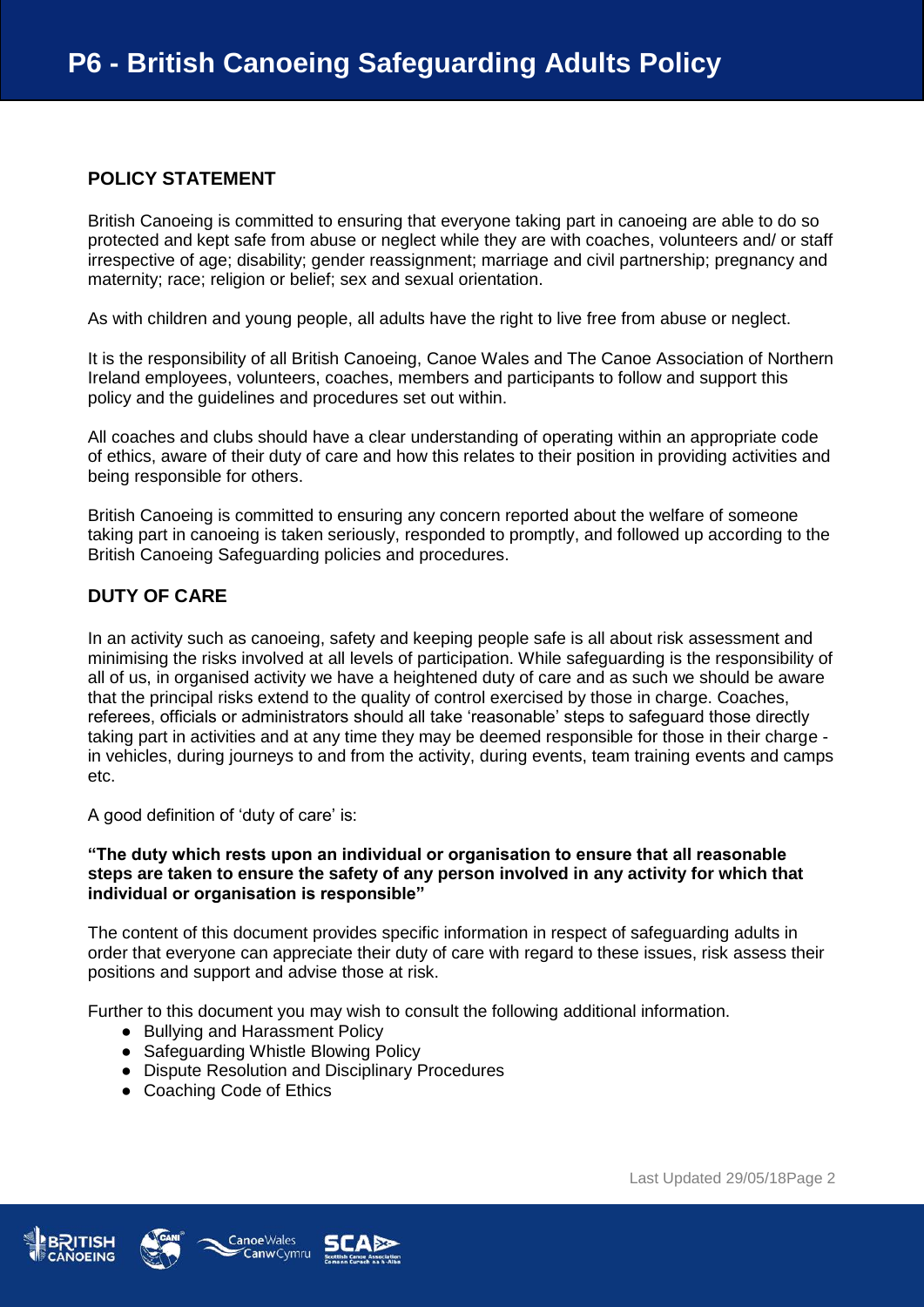# **POLICY STATEMENT**

British Canoeing is committed to ensuring that everyone taking part in canoeing are able to do so protected and kept safe from abuse or neglect while they are with coaches, volunteers and/ or staff irrespective of age; disability; gender reassignment; marriage and civil partnership; pregnancy and maternity; race; religion or belief; sex and sexual orientation.

As with children and young people, all adults have the right to live free from abuse or neglect.

It is the responsibility of all British Canoeing, Canoe Wales and The Canoe Association of Northern Ireland employees, volunteers, coaches, members and participants to follow and support this policy and the guidelines and procedures set out within.

All coaches and clubs should have a clear understanding of operating within an appropriate code of ethics, aware of their duty of care and how this relates to their position in providing activities and being responsible for others.

British Canoeing is committed to ensuring any concern reported about the welfare of someone taking part in canoeing is taken seriously, responded to promptly, and followed up according to the British Canoeing Safeguarding policies and procedures.

## <span id="page-1-0"></span>**DUTY OF CARE**

In an activity such as canoeing, safety and keeping people safe is all about risk assessment and minimising the risks involved at all levels of participation. While safeguarding is the responsibility of all of us, in organised activity we have a heightened duty of care and as such we should be aware that the principal risks extend to the quality of control exercised by those in charge. Coaches, referees, officials or administrators should all take 'reasonable' steps to safeguard those directly taking part in activities and at any time they may be deemed responsible for those in their charge in vehicles, during journeys to and from the activity, during events, team training events and camps etc.

A good definition of 'duty of care' is:

#### **"The duty which rests upon an individual or organisation to ensure that all reasonable steps are taken to ensure the safety of any person involved in any activity for which that individual or organisation is responsible"**

The content of this document provides specific information in respect of safeguarding adults in order that everyone can appreciate their duty of care with regard to these issues, risk assess their positions and support and advise those at risk.

Further to this document you may wish to consult the following additional information.

- Bullving and Harassment Policy
- Safeguarding Whistle Blowing Policy
- Dispute Resolution and Disciplinary Procedures
- <span id="page-1-1"></span>● Coaching Code of Ethics





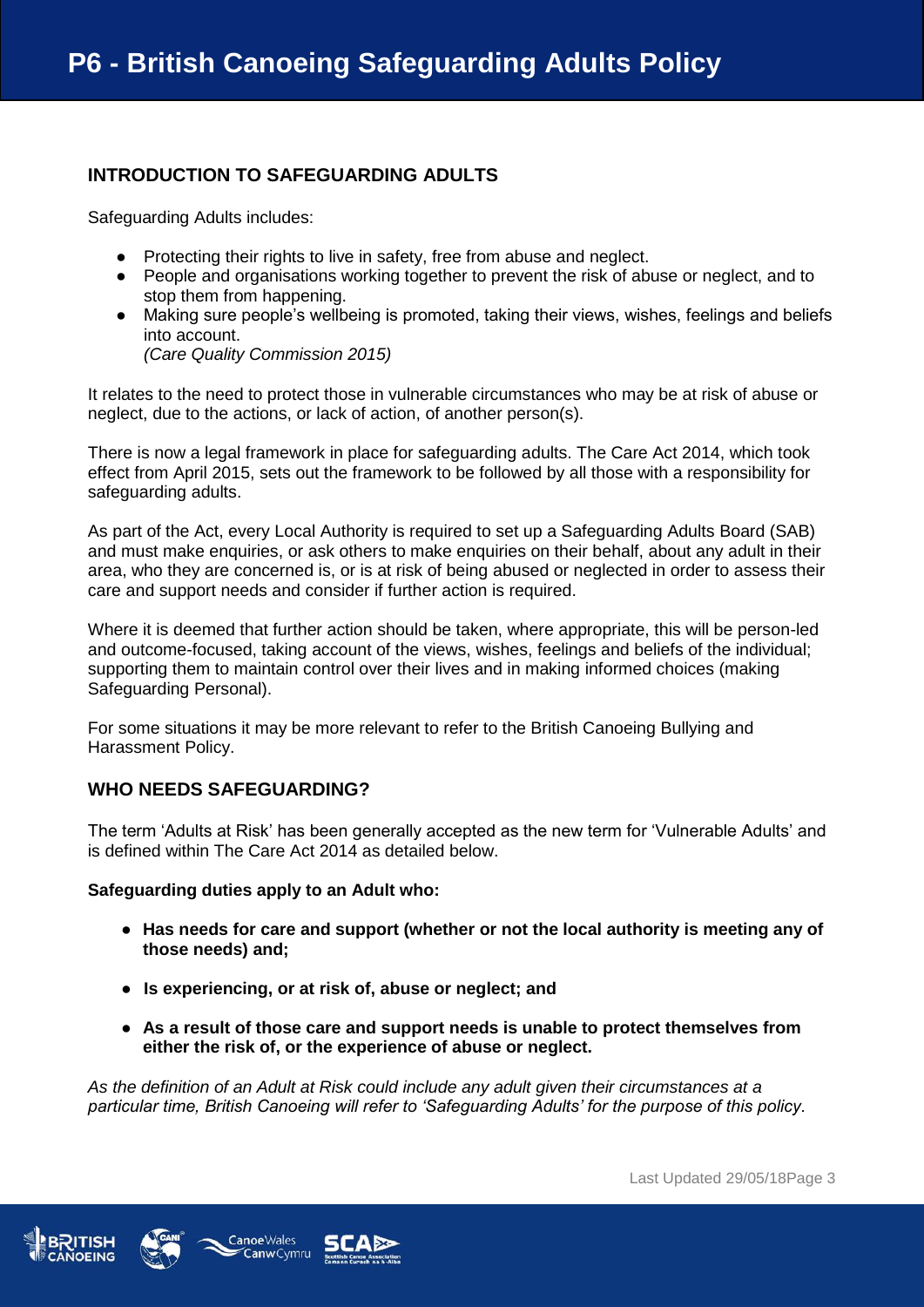# **INTRODUCTION TO SAFEGUARDING ADULTS**

Safeguarding Adults includes:

- Protecting their rights to live in safety, free from abuse and neglect.
- People and organisations working together to prevent the risk of abuse or neglect, and to stop them from happening.
- Making sure people's wellbeing is promoted, taking their views, wishes, feelings and beliefs into account. *(Care Quality Commission 2015)*

It relates to the need to protect those in vulnerable circumstances who may be at risk of abuse or neglect, due to the actions, or lack of action, of another person(s).

There is now a legal framework in place for safeguarding adults. The Care Act 2014, which took effect from April 2015, sets out the framework to be followed by all those with a responsibility for safeguarding adults.

As part of the Act, every Local Authority is required to set up a Safeguarding Adults Board (SAB) and must make enquiries, or ask others to make enquiries on their behalf, about any adult in their area, who they are concerned is, or is at risk of being abused or neglected in order to assess their care and support needs and consider if further action is required.

Where it is deemed that further action should be taken, where appropriate, this will be person-led and outcome-focused, taking account of the views, wishes, feelings and beliefs of the individual; supporting them to maintain control over their lives and in making informed choices (making Safeguarding Personal).

For some situations it may be more relevant to refer to the British Canoeing Bullying and Harassment Policy.

# <span id="page-2-0"></span>**WHO NEEDS SAFEGUARDING?**

The term 'Adults at Risk' has been generally accepted as the new term for 'Vulnerable Adults' and is defined within The Care Act 2014 as detailed below.

## **Safeguarding duties apply to an Adult who:**

- **Has needs for care and support (whether or not the local authority is meeting any of those needs) and;**
- **Is experiencing, or at risk of, abuse or neglect; and**
- **As a result of those care and support needs is unable to protect themselves from either the risk of, or the experience of abuse or neglect.**

*As the definition of an Adult at Risk could include any adult given their circumstances at a particular time, British Canoeing will refer to 'Safeguarding Adults' for the purpose of this policy.*



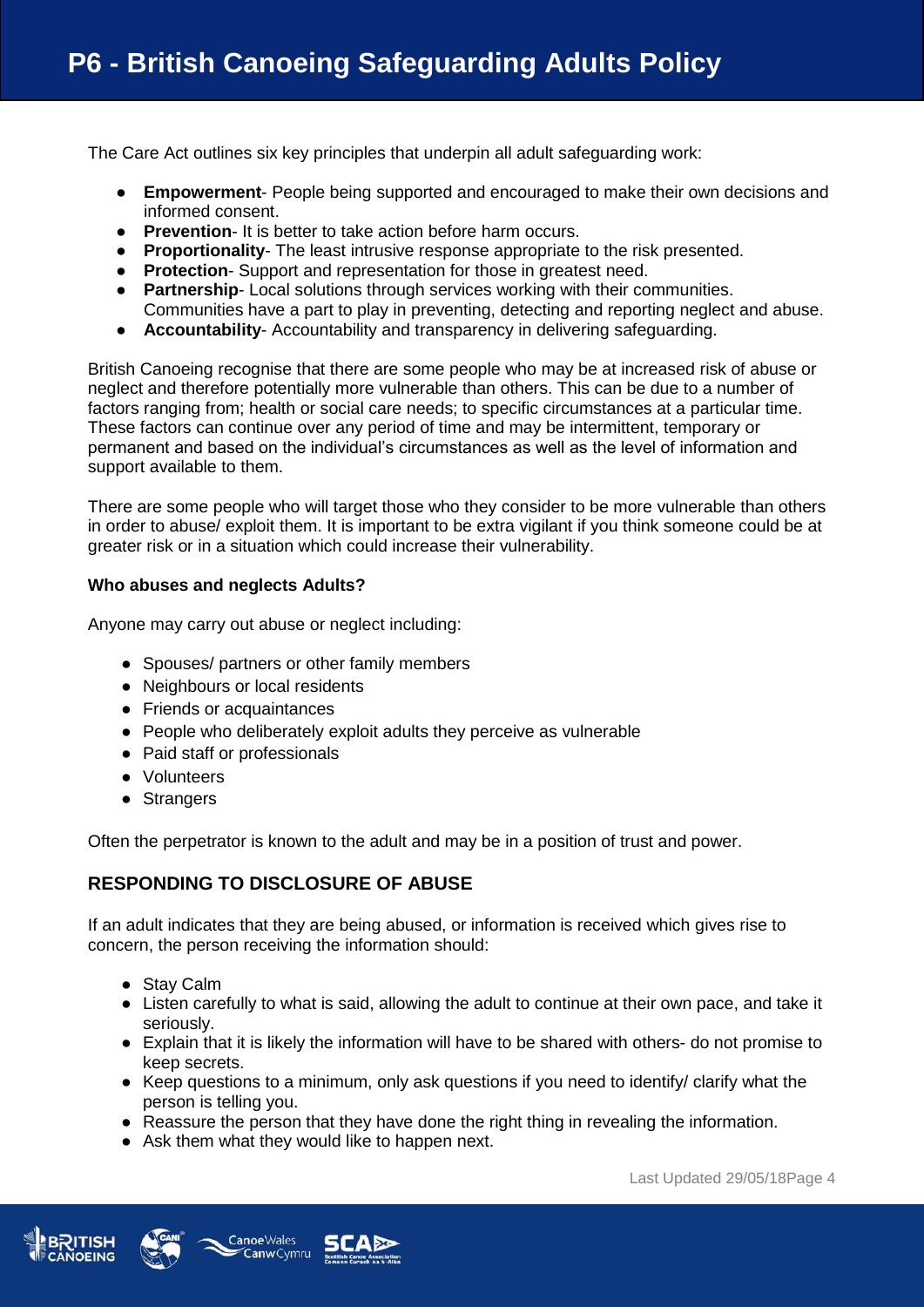The Care Act outlines six key principles that underpin all adult safeguarding work:

- **Empowerment-** People being supported and encouraged to make their own decisions and informed consent.
- **Prevention** It is better to take action before harm occurs.
- **Proportionality** The least intrusive response appropriate to the risk presented.
- **Protection** Support and representation for those in greatest need.
- **Partnership-** Local solutions through services working with their communities. Communities have a part to play in preventing, detecting and reporting neglect and abuse.
- **Accountability** Accountability and transparency in delivering safeguarding.

British Canoeing recognise that there are some people who may be at increased risk of abuse or neglect and therefore potentially more vulnerable than others. This can be due to a number of factors ranging from; health or social care needs; to specific circumstances at a particular time. These factors can continue over any period of time and may be intermittent, temporary or permanent and based on the individual's circumstances as well as the level of information and support available to them.

There are some people who will target those who they consider to be more vulnerable than others in order to abuse/ exploit them. It is important to be extra vigilant if you think someone could be at greater risk or in a situation which could increase their vulnerability.

# **Who abuses and neglects Adults?**

Anyone may carry out abuse or neglect including:

- Spouses/ partners or other family members
- Neighbours or local residents
- Friends or acquaintances
- People who deliberately exploit adults they perceive as vulnerable
- Paid staff or professionals
- Volunteers
- Strangers

Often the perpetrator is known to the adult and may be in a position of trust and power.

# <span id="page-3-0"></span>**RESPONDING TO DISCLOSURE OF ABUSE**

If an adult indicates that they are being abused, or information is received which gives rise to concern, the person receiving the information should:

- Stay Calm
- Listen carefully to what is said, allowing the adult to continue at their own pace, and take it seriously.
- Explain that it is likely the information will have to be shared with others- do not promise to keep secrets.
- Keep questions to a minimum, only ask questions if you need to identify/ clarify what the person is telling you.
- Reassure the person that they have done the right thing in revealing the information.
- Ask them what they would like to happen next.





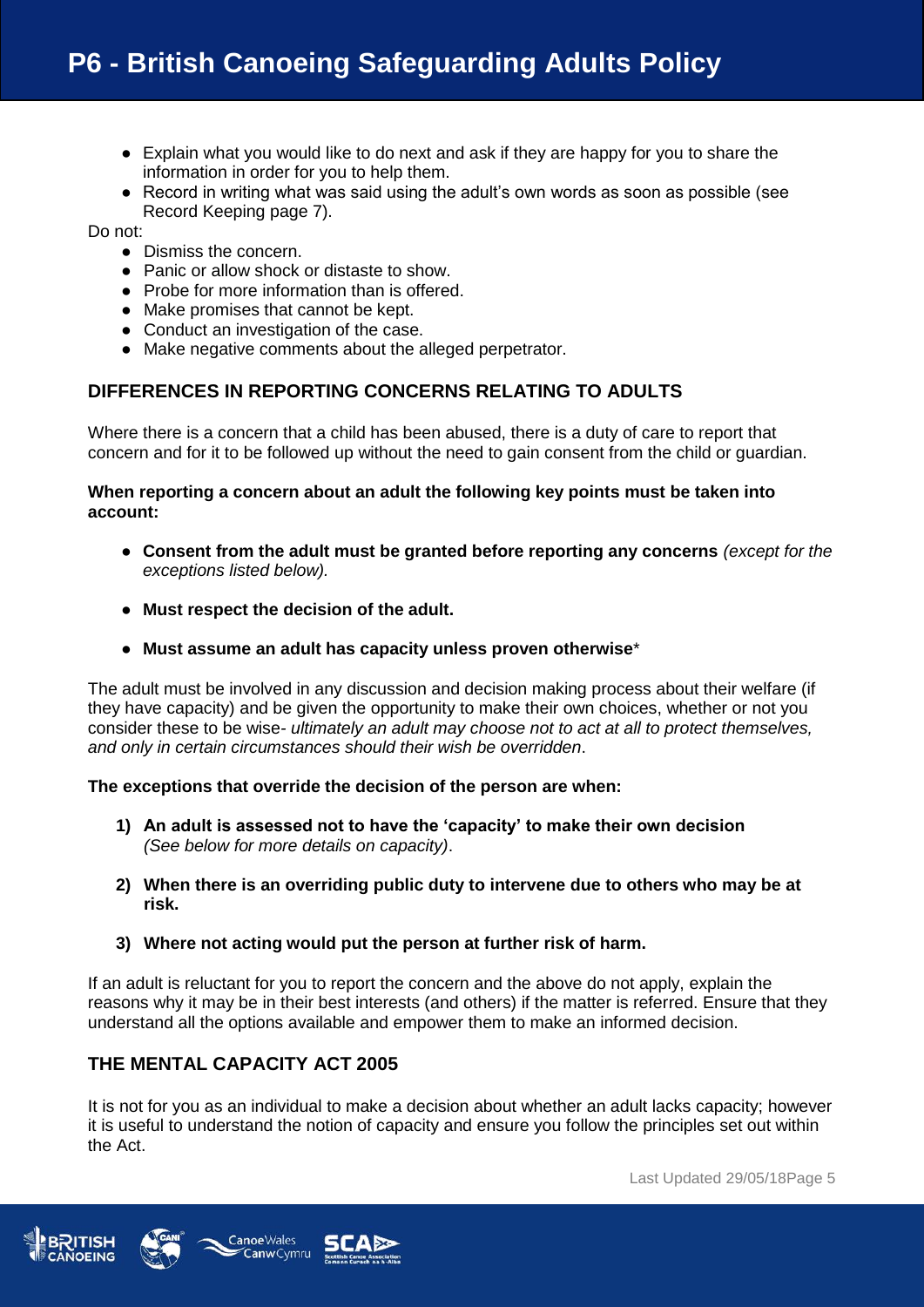- Explain what you would like to do next and ask if they are happy for you to share the information in order for you to help them.
- Record in writing what was said using the adult's own words as soon as possible (see Record Keeping page 7).

Do not:

- Dismiss the concern.
- Panic or allow shock or distaste to show.
- Probe for more information than is offered.
- Make promises that cannot be kept.
- Conduct an investigation of the case.
- <span id="page-4-0"></span>● Make negative comments about the alleged perpetrator.

# **DIFFERENCES IN REPORTING CONCERNS RELATING TO ADULTS**

Where there is a concern that a child has been abused, there is a duty of care to report that concern and for it to be followed up without the need to gain consent from the child or guardian.

#### **When reporting a concern about an adult the following key points must be taken into account:**

- **Consent from the adult must be granted before reporting any concerns** *(except for the exceptions listed below).*
- **Must respect the decision of the adult.**
- **Must assume an adult has capacity unless proven otherwise**\*

The adult must be involved in any discussion and decision making process about their welfare (if they have capacity) and be given the opportunity to make their own choices, whether or not you consider these to be wise*- ultimately an adult may choose not to act at all to protect themselves, and only in certain circumstances should their wish be overridden*.

#### **The exceptions that override the decision of the person are when:**

- **1) An adult is assessed not to have the 'capacity' to make their own decision**  *(See below for more details on capacity)*.
- **2) When there is an overriding public duty to intervene due to others who may be at risk.**
- **3) Where not acting would put the person at further risk of harm.**

If an adult is reluctant for you to report the concern and the above do not apply, explain the reasons why it may be in their best interests (and others) if the matter is referred. Ensure that they understand all the options available and empower them to make an informed decision.

# <span id="page-4-1"></span>**THE MENTAL CAPACITY ACT 2005**

It is not for you as an individual to make a decision about whether an adult lacks capacity; however it is useful to understand the notion of capacity and ensure you follow the principles set out within the Act.





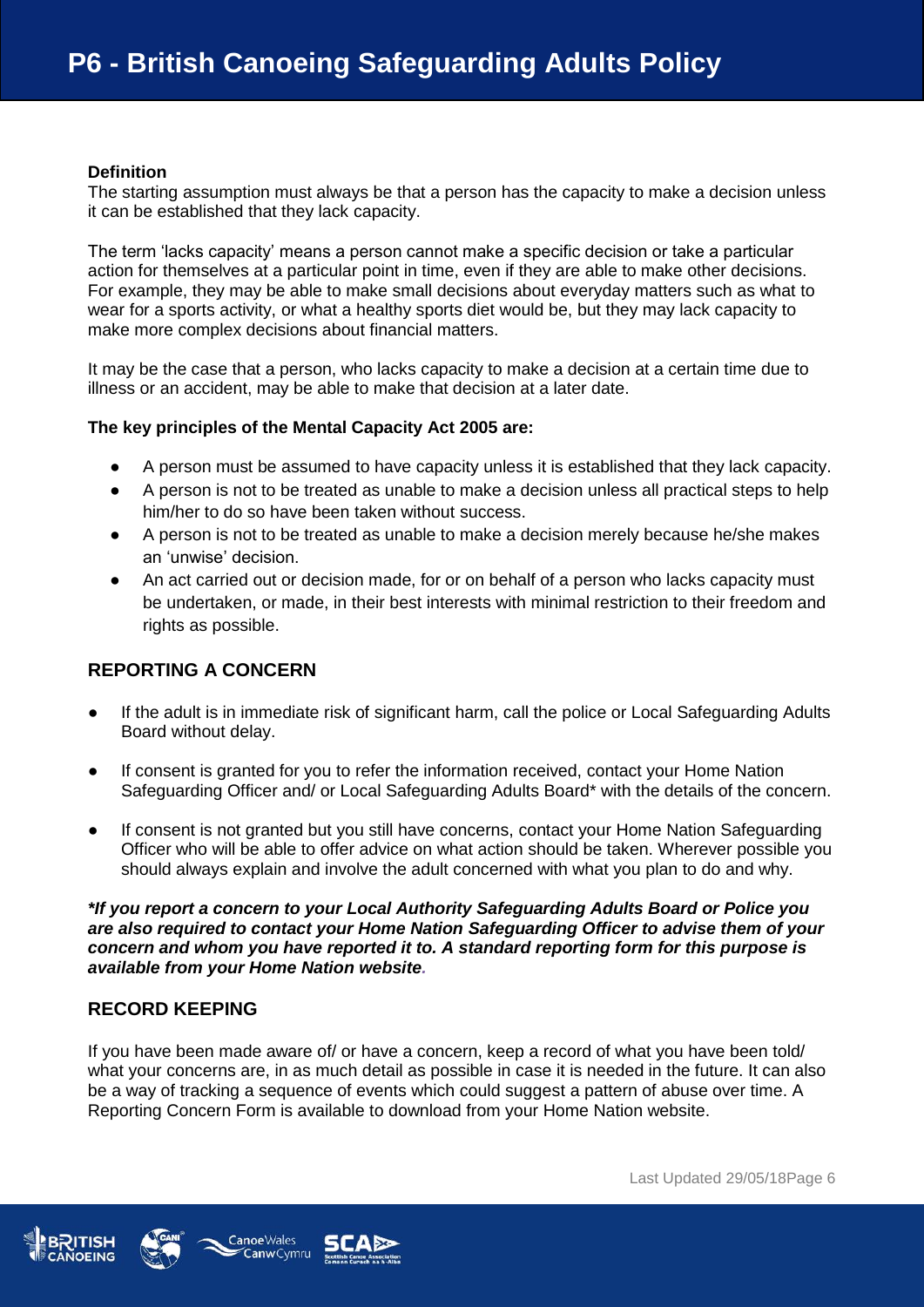#### **Definition**

The starting assumption must always be that a person has the capacity to make a decision unless it can be established that they lack capacity.

The term 'lacks capacity' means a person cannot make a specific decision or take a particular action for themselves at a particular point in time, even if they are able to make other decisions. For example, they may be able to make small decisions about everyday matters such as what to wear for a sports activity, or what a healthy sports diet would be, but they may lack capacity to make more complex decisions about financial matters.

It may be the case that a person, who lacks capacity to make a decision at a certain time due to illness or an accident, may be able to make that decision at a later date.

#### **The key principles of the Mental Capacity Act 2005 are:**

- A person must be assumed to have capacity unless it is established that they lack capacity.
- A person is not to be treated as unable to make a decision unless all practical steps to help him/her to do so have been taken without success.
- A person is not to be treated as unable to make a decision merely because he/she makes an 'unwise' decision.
- An act carried out or decision made, for or on behalf of a person who lacks capacity must be undertaken, or made, in their best interests with minimal restriction to their freedom and rights as possible.

# <span id="page-5-0"></span>**REPORTING A CONCERN**

- If the adult is in immediate risk of significant harm, call the police or Local Safeguarding Adults Board without delay.
- If consent is granted for you to refer the information received, contact your Home Nation Safeguarding Officer and/ or Local Safeguarding Adults Board\* with the details of the concern.
- If consent is not granted but you still have concerns, contact your Home Nation Safeguarding Officer who will be able to offer advice on what action should be taken. Wherever possible you should always explain and involve the adult concerned with what you plan to do and why.

*\*If you report a concern to your Local Authority Safeguarding Adults Board or Police you are also required to contact your Home Nation Safeguarding Officer to advise them of your concern and whom you have reported it to. A standard reporting form for this purpose is available from your Home Nation website.* 

## **RECORD KEEPING**

If you have been made aware of/ or have a concern, keep a record of what you have been told/ what your concerns are, in as much detail as possible in case it is needed in the future. It can also be a way of tracking a sequence of events which could suggest a pattern of abuse over time. A Reporting Concern Form is available to download from your Home Nation website.

<span id="page-5-1"></span>





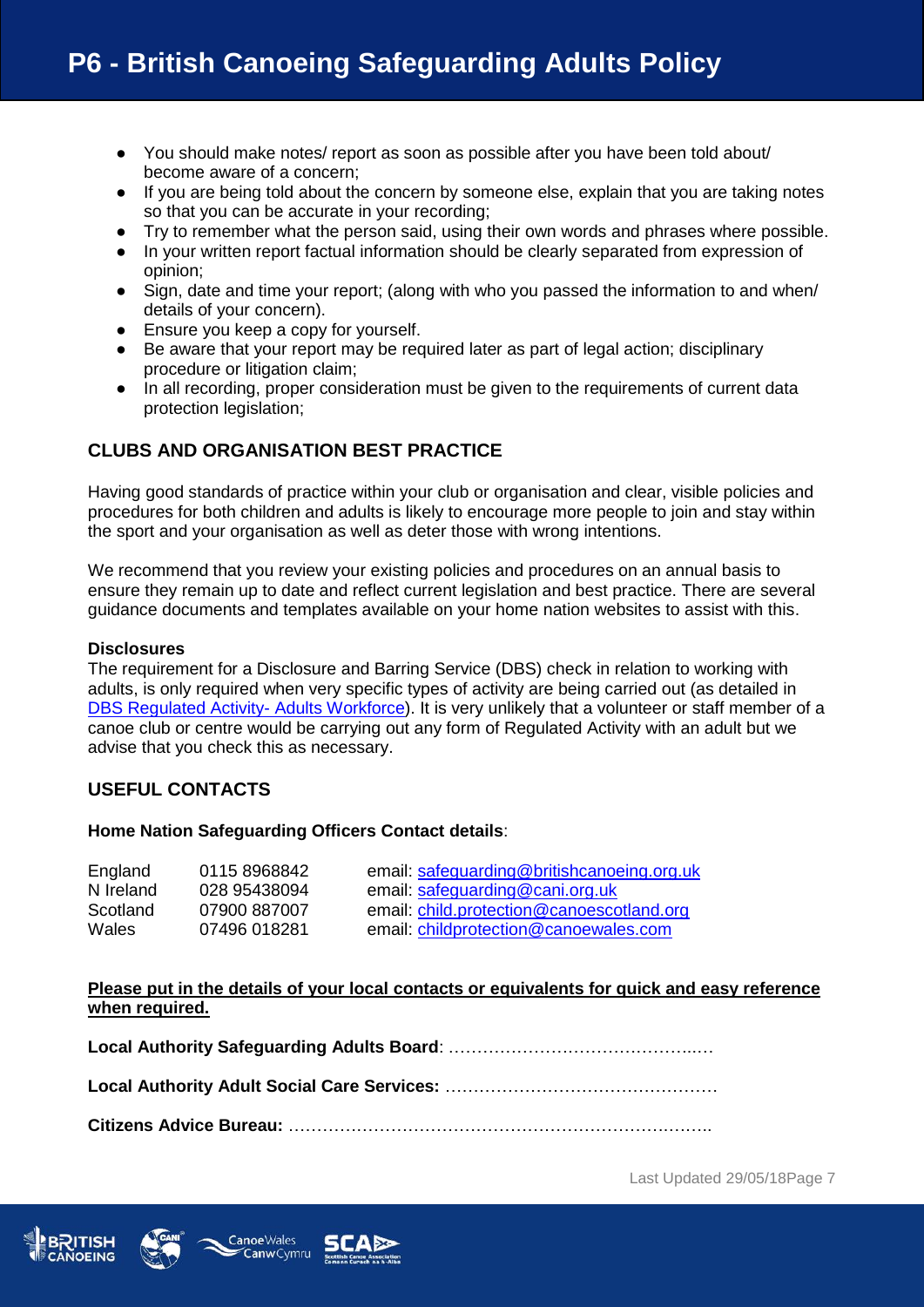- You should make notes/ report as soon as possible after you have been told about/ become aware of a concern;
- If you are being told about the concern by someone else, explain that you are taking notes so that you can be accurate in your recording;
- Try to remember what the person said, using their own words and phrases where possible.
- In your written report factual information should be clearly separated from expression of opinion;
- Sign, date and time your report; (along with who you passed the information to and when/ details of your concern).
- Ensure you keep a copy for yourself.
- Be aware that your report may be required later as part of legal action; disciplinary procedure or litigation claim;
- In all recording, proper consideration must be given to the requirements of current data protection legislation;

# <span id="page-6-0"></span>**CLUBS AND ORGANISATION BEST PRACTICE**

Having good standards of practice within your club or organisation and clear, visible policies and procedures for both children and adults is likely to encourage more people to join and stay within the sport and your organisation as well as deter those with wrong intentions.

We recommend that you review your existing policies and procedures on an annual basis to ensure they remain up to date and reflect current legislation and best practice. There are several guidance documents and templates available on your home nation websites to assist with this.

#### **Disclosures**

The requirement for a Disclosure and Barring Service (DBS) check in relation to working with adults, is only required when very specific types of activity are being carried out (as detailed in [DBS Regulated Activity-](https://www.gov.uk/government/publications/dbs-check-eligible-positions-guidance) Adults Workforce). It is very unlikely that a volunteer or staff member of a canoe club or centre would be carrying out any form of Regulated Activity with an adult but we advise that you check this as necessary.

# <span id="page-6-1"></span>**USEFUL CONTACTS**

## **Home Nation Safeguarding Officers Contact details**:

| England   | 0115 8968842 | email: safeguarding@britishcanoeing.org.uk |
|-----------|--------------|--------------------------------------------|
| N Ireland | 028 95438094 | email: safeguarding@cani.org.uk            |
| Scotland  | 07900 887007 | email: child.protection@canoescotland.org  |
| Wales     | 07496 018281 | email: childprotection@canoewales.com      |
|           |              |                                            |

## **Please put in the details of your local contacts or equivalents for quick and easy reference when required.**

**Local Authority Safeguarding Adults Board**: ……………………………………..…

**Local Authority Adult Social Care Services:** …………………………………………

**Citizens Advice Bureau:** ………………………………………………………….……..







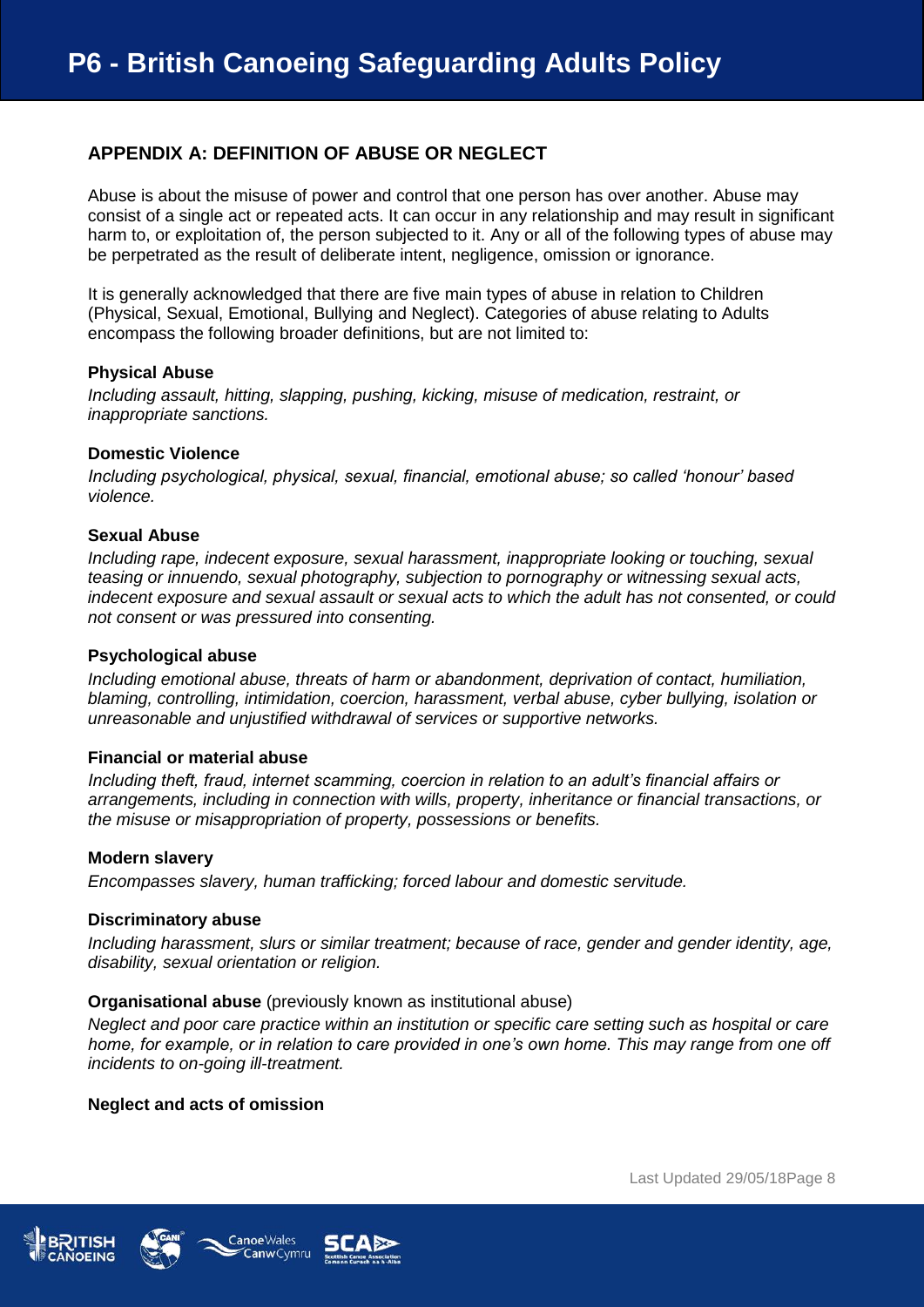# <span id="page-7-0"></span>**APPENDIX A: DEFINITION OF ABUSE OR NEGLECT**

Abuse is about the misuse of power and control that one person has over another. Abuse may consist of a single act or repeated acts. It can occur in any relationship and may result in significant harm to, or exploitation of, the person subjected to it. Any or all of the following types of abuse may be perpetrated as the result of deliberate intent, negligence, omission or ignorance.

It is generally acknowledged that there are five main types of abuse in relation to Children (Physical, Sexual, Emotional, Bullying and Neglect). Categories of abuse relating to Adults encompass the following broader definitions, but are not limited to:

#### **Physical Abuse**

*Including assault, hitting, slapping, pushing, kicking, misuse of medication, restraint, or inappropriate sanctions.*

#### **Domestic Violence**

*Including psychological, physical, sexual, financial, emotional abuse; so called 'honour' based violence.* 

#### **Sexual Abuse**

*Including rape, indecent exposure, sexual harassment, inappropriate looking or touching, sexual teasing or innuendo, sexual photography, subjection to pornography or witnessing sexual acts, indecent exposure and sexual assault or sexual acts to which the adult has not consented, or could not consent or was pressured into consenting.*

#### **Psychological abuse**

*Including emotional abuse, threats of harm or abandonment, deprivation of contact, humiliation, blaming, controlling, intimidation, coercion, harassment, verbal abuse, cyber bullying, isolation or unreasonable and unjustified withdrawal of services or supportive networks.*

#### **Financial or material abuse**

*Including theft, fraud, internet scamming, coercion in relation to an adult's financial affairs or arrangements, including in connection with wills, property, inheritance or financial transactions, or the misuse or misappropriation of property, possessions or benefits.* 

#### **Modern slavery**

*Encompasses slavery, human trafficking; forced labour and domestic servitude.* 

#### **Discriminatory abuse**

*Including harassment, slurs or similar treatment; because of race, gender and gender identity, age, disability, sexual orientation or religion.* 

#### **Organisational abuse** (previously known as institutional abuse)

*Neglect and poor care practice within an institution or specific care setting such as hospital or care home, for example, or in relation to care provided in one's own home. This may range from one off incidents to on-going ill-treatment.* 

#### **Neglect and acts of omission**





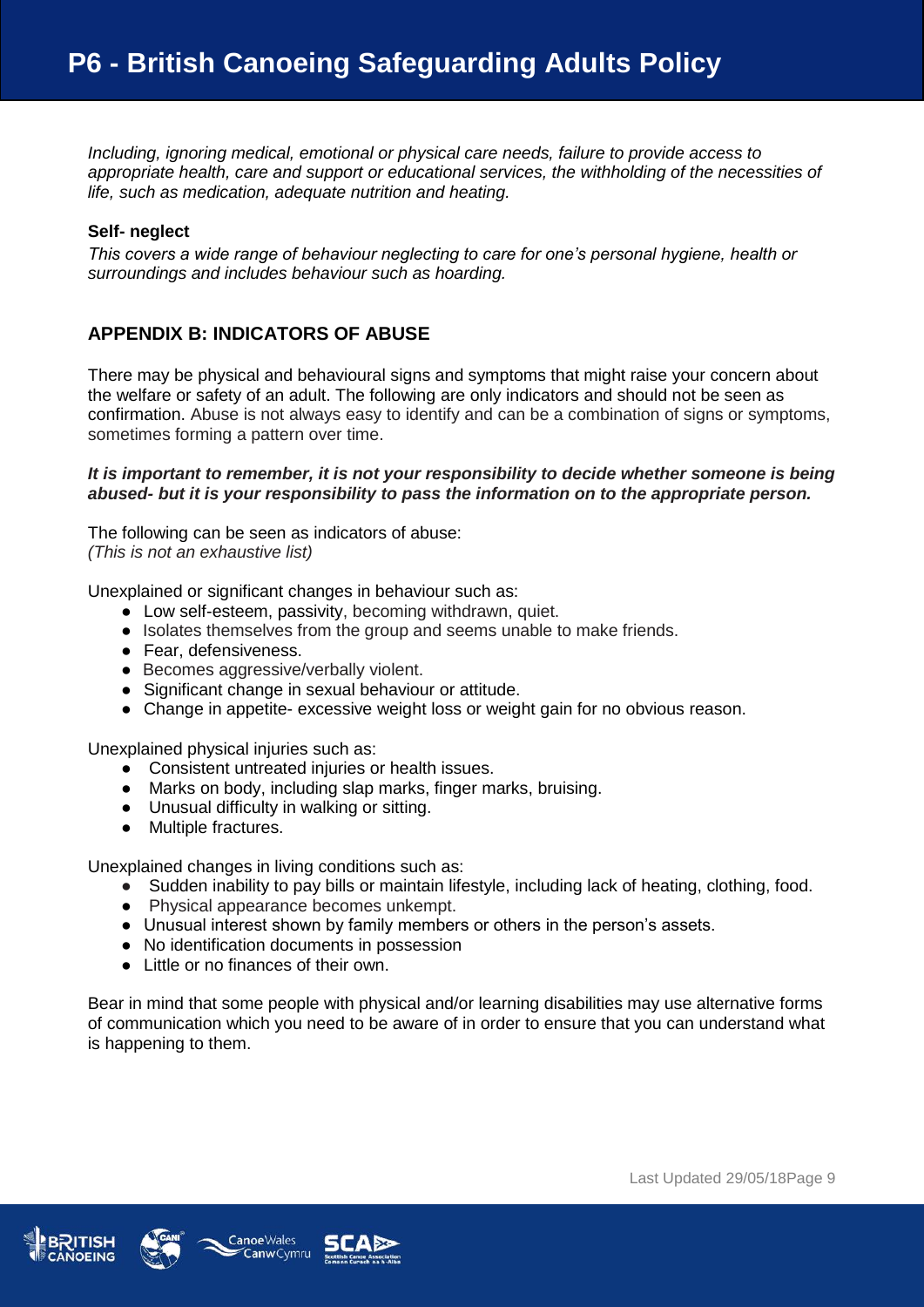*Including, ignoring medical, emotional or physical care needs, failure to provide access to appropriate health, care and support or educational services, the withholding of the necessities of life, such as medication, adequate nutrition and heating.* 

## **Self- neglect**

*This covers a wide range of behaviour neglecting to care for one's personal hygiene, health or surroundings and includes behaviour such as hoarding.*

# <span id="page-8-0"></span>**APPENDIX B: INDICATORS OF ABUSE**

There may be physical and behavioural signs and symptoms that might raise your concern about the welfare or safety of an adult. The following are only indicators and should not be seen as confirmation. Abuse is not always easy to identify and can be a combination of signs or symptoms, sometimes forming a pattern over time.

#### *It is important to remember, it is not your responsibility to decide whether someone is being abused- but it is your responsibility to pass the information on to the appropriate person.*

The following can be seen as indicators of abuse: *(This is not an exhaustive list)*

Unexplained or significant changes in behaviour such as:

- Low self-esteem, passivity, becoming withdrawn, quiet.
- Isolates themselves from the group and seems unable to make friends.
- Fear, defensiveness.
- Becomes aggressive/verbally violent.
- Significant change in sexual behaviour or attitude.
- Change in appetite- excessive weight loss or weight gain for no obvious reason.

Unexplained physical injuries such as:

- Consistent untreated injuries or health issues.
- Marks on body, including slap marks, finger marks, bruising.
- Unusual difficulty in walking or sitting.
- Multiple fractures.

Unexplained changes in living conditions such as:

- Sudden inability to pay bills or maintain lifestyle, including lack of heating, clothing, food.
- Physical appearance becomes unkempt.
- Unusual interest shown by family members or others in the person's assets.
- No identification documents in possession
- Little or no finances of their own.

<span id="page-8-1"></span>Bear in mind that some people with physical and/or learning disabilities may use alternative forms of communication which you need to be aware of in order to ensure that you can understand what is happening to them.